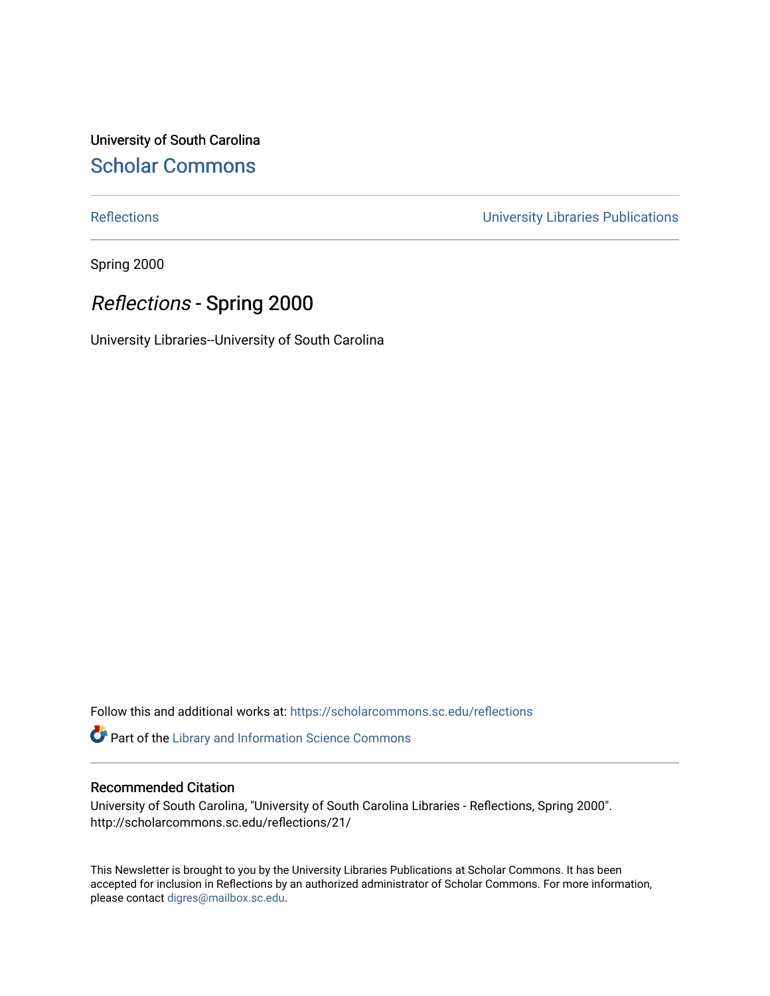University of South Carolina [Scholar Commons](https://scholarcommons.sc.edu/) 

[Reflections](https://scholarcommons.sc.edu/reflections) [University Libraries Publications](https://scholarcommons.sc.edu/lib_pubs) 

Spring 2000

### Reflections - Spring 2000

University Libraries--University of South Carolina

Follow this and additional works at: [https://scholarcommons.sc.edu/reflections](https://scholarcommons.sc.edu/reflections?utm_source=scholarcommons.sc.edu%2Freflections%2F21&utm_medium=PDF&utm_campaign=PDFCoverPages) 

Part of the [Library and Information Science Commons](http://network.bepress.com/hgg/discipline/1018?utm_source=scholarcommons.sc.edu%2Freflections%2F21&utm_medium=PDF&utm_campaign=PDFCoverPages) 

#### Recommended Citation

University of South Carolina, "University of South Carolina Libraries - Reflections, Spring 2000". http://scholarcommons.sc.edu/reflections/21/

This Newsletter is brought to you by the University Libraries Publications at Scholar Commons. It has been accepted for inclusion in Reflections by an authorized administrator of Scholar Commons. For more information, please contact [digres@mailbox.sc.edu](mailto:digres@mailbox.sc.edu).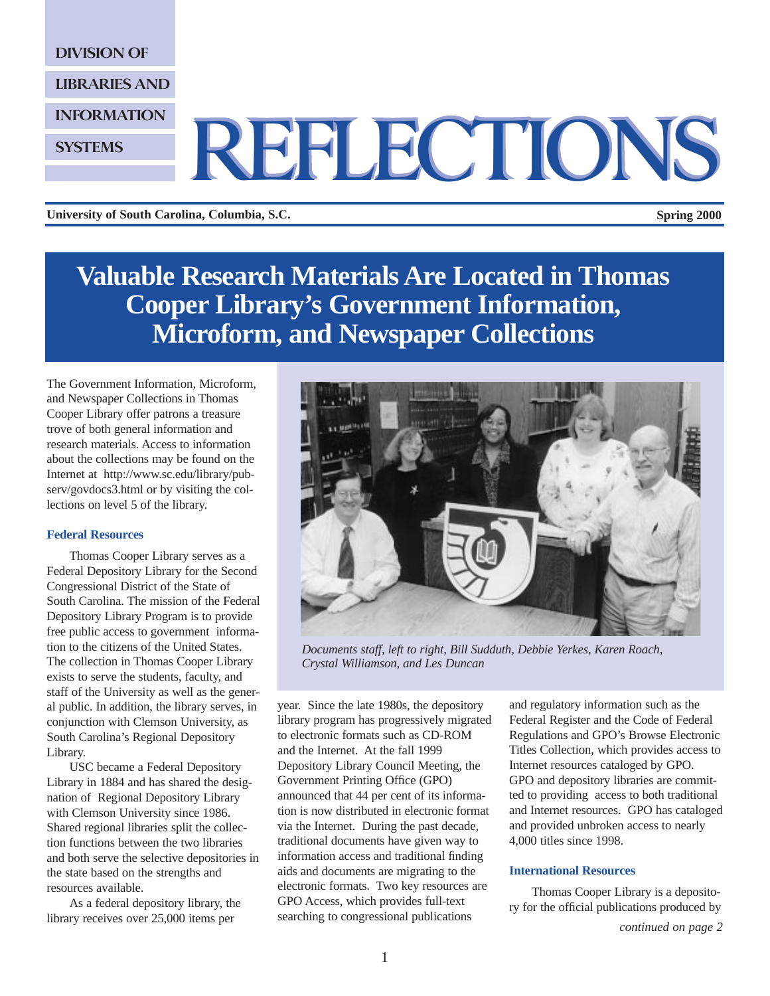DIVISION OF

LIBRARIES AND

INFORMATION

**SYSTEMS** 

# REFLECTIONS REFLECTIONS

**University of South Carolina, Columbia, S.C. Spring 2000**

**Valuable Research Materials Are Located in Thomas Cooper Library's Government Information, Microform, and Newspaper Collections** 

The Government Information, Microform, and Newspaper Collections in Thomas Cooper Library offer patrons a treasure trove of both general information and research materials. Access to information about the collections may be found on the Internet at http://www.sc.edu/library/pubserv/govdocs3.html or by visiting the collections on level 5 of the library.

#### **Federal Resources**

Thomas Cooper Library serves as a Federal Depository Library for the Second Congressional District of the State of South Carolina. The mission of the Federal Depository Library Program is to provide free public access to government information to the citizens of the United States. The collection in Thomas Cooper Library exists to serve the students, faculty, and staff of the University as well as the general public. In addition, the library serves, in conjunction with Clemson University, as South Carolina's Regional Depository Library.

USC became a Federal Depository Library in 1884 and has shared the designation of Regional Depository Library with Clemson University since 1986. Shared regional libraries split the collection functions between the two libraries and both serve the selective depositories in the state based on the strengths and resources available.

As a federal depository library, the library receives over 25,000 items per



*Documents staff, left to right, Bill Sudduth, Debbie Yerkes, Karen Roach, Crystal Williamson, and Les Duncan*

year. Since the late 1980s, the depository library program has progressively migrated to electronic formats such as CD-ROM and the Internet. At the fall 1999 Depository Library Council Meeting, the Government Printing Office (GPO) announced that 44 per cent of its information is now distributed in electronic format via the Internet. During the past decade, traditional documents have given way to information access and traditional finding aids and documents are migrating to the electronic formats. Two key resources are GPO Access, which provides full-text searching to congressional publications

and regulatory information such as the Federal Register and the Code of Federal Regulations and GPO's Browse Electronic Titles Collection, which provides access to Internet resources cataloged by GPO. GPO and depository libraries are committed to providing access to both traditional and Internet resources. GPO has cataloged and provided unbroken access to nearly 4,000 titles since 1998.

#### **International Resources**

Thomas Cooper Library is a depository for the official publications produced by

*continued on page 2*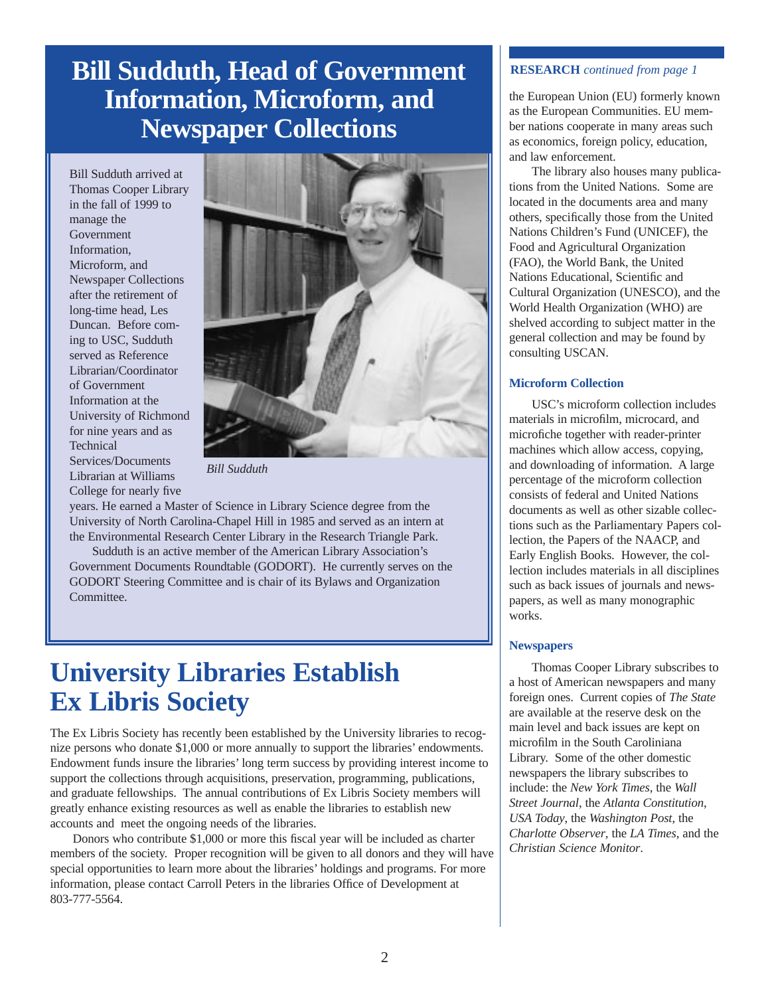### **Bill Sudduth, Head of Government** RESEARCH *continued from page 1* **Information, Microform, and Newspaper Collections**

Bill Sudduth arrived at Thomas Cooper Library in the fall of 1999 to manage the Government Information, Microform, and Newspaper Collections after the retirement of long-time head, Les Duncan. Before coming to USC, Sudduth served as Reference Librarian/Coordinator of Government Information at the University of Richmond for nine years and as **Technical** Services/Documents Librarian at Williams College for nearly five



*Bill Sudduth*

years. He earned a Master of Science in Library Science degree from the University of North Carolina-Chapel Hill in 1985 and served as an intern at the Environmental Research Center Library in the Research Triangle Park.

Sudduth is an active member of the American Library Association's Government Documents Roundtable (GODORT). He currently serves on the GODORT Steering Committee and is chair of its Bylaws and Organization Committee.

## **University Libraries Establish Ex Libris Society**

The Ex Libris Society has recently been established by the University libraries to recognize persons who donate \$1,000 or more annually to support the libraries' endowments. Endowment funds insure the libraries' long term success by providing interest income to support the collections through acquisitions, preservation, programming, publications, and graduate fellowships. The annual contributions of Ex Libris Society members will greatly enhance existing resources as well as enable the libraries to establish new accounts and meet the ongoing needs of the libraries.

Donors who contribute \$1,000 or more this fiscal year will be included as charter members of the society. Proper recognition will be given to all donors and they will have special opportunities to learn more about the libraries' holdings and programs. For more information, please contact Carroll Peters in the libraries Office of Development at 803-777-5564.

the European Union (EU) formerly known as the European Communities. EU member nations cooperate in many areas such as economics, foreign policy, education, and law enforcement.

The library also houses many publications from the United Nations. Some are located in the documents area and many others, specifically those from the United Nations Children's Fund (UNICEF), the Food and Agricultural Organization (FAO), the World Bank, the United Nations Educational, Scientific and Cultural Organization (UNESCO), and the World Health Organization (WHO) are shelved according to subject matter in the general collection and may be found by consulting USCAN.

#### **Microform Collection**

USC's microform collection includes materials in microfilm, microcard, and microfiche together with reader-printer machines which allow access, copying, and downloading of information. A large percentage of the microform collection consists of federal and United Nations documents as well as other sizable collections such as the Parliamentary Papers collection, the Papers of the NAACP, and Early English Books. However, the collection includes materials in all disciplines such as back issues of journals and newspapers, as well as many monographic works.

#### **Newspapers**

Thomas Cooper Library subscribes to a host of American newspapers and many foreign ones. Current copies of *The State* are available at the reserve desk on the main level and back issues are kept on microfilm in the South Caroliniana Library. Some of the other domestic newspapers the library subscribes to include: the *New York Times*, the *Wall Street Journal*, the *Atlanta Constitution*, *USA Today*, the *Washington Post*, the *Charlotte Observer*, the *LA Times*, and the *Christian Science Monitor*.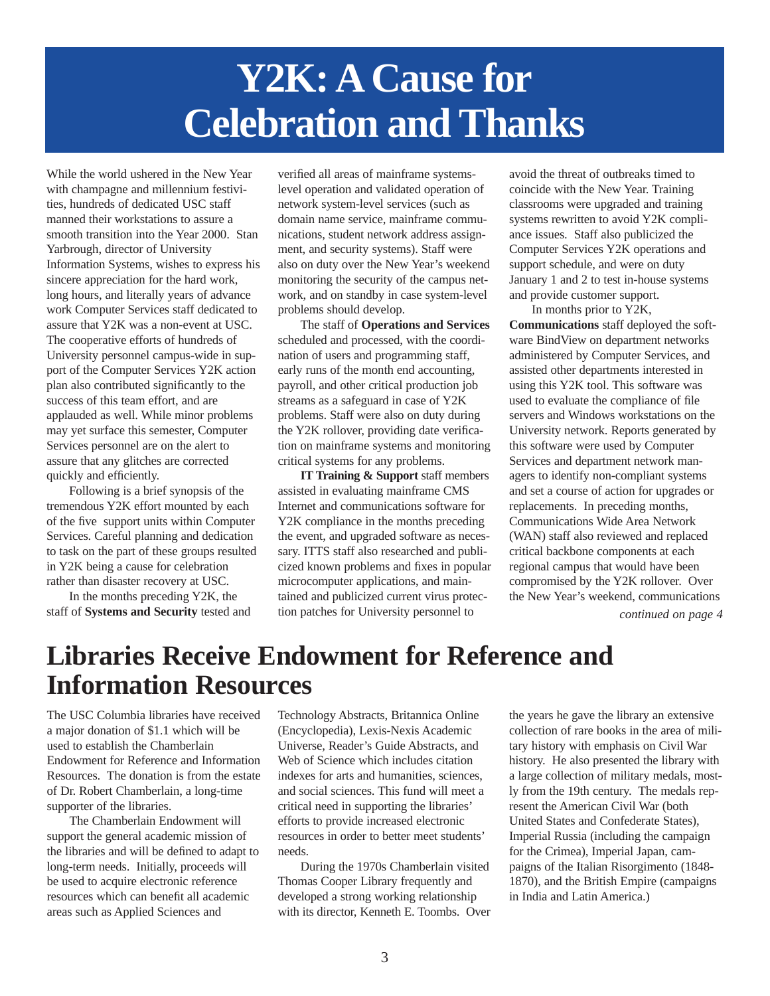## **Y2K: A Cause for Celebration and Thanks**

While the world ushered in the New Year with champagne and millennium festivities, hundreds of dedicated USC staff manned their workstations to assure a smooth transition into the Year 2000. Stan Yarbrough, director of University Information Systems, wishes to express his sincere appreciation for the hard work, long hours, and literally years of advance work Computer Services staff dedicated to assure that Y2K was a non-event at USC. The cooperative efforts of hundreds of University personnel campus-wide in support of the Computer Services Y2K action plan also contributed significantly to the success of this team effort, and are applauded as well. While minor problems may yet surface this semester, Computer Services personnel are on the alert to assure that any glitches are corrected quickly and efficiently.

Following is a brief synopsis of the tremendous Y2K effort mounted by each of the five support units within Computer Services. Careful planning and dedication to task on the part of these groups resulted in Y2K being a cause for celebration rather than disaster recovery at USC.

In the months preceding Y2K, the staff of **Systems and Security** tested and verified all areas of mainframe systemslevel operation and validated operation of network system-level services (such as domain name service, mainframe communications, student network address assignment, and security systems). Staff were also on duty over the New Year's weekend monitoring the security of the campus network, and on standby in case system-level problems should develop.

The staff of **Operations and Services** scheduled and processed, with the coordination of users and programming staff, early runs of the month end accounting, payroll, and other critical production job streams as a safeguard in case of Y2K problems. Staff were also on duty during the Y2K rollover, providing date verification on mainframe systems and monitoring critical systems for any problems.

**IT Training & Support** staff members assisted in evaluating mainframe CMS Internet and communications software for Y2K compliance in the months preceding the event, and upgraded software as necessary. ITTS staff also researched and publicized known problems and fixes in popular microcomputer applications, and maintained and publicized current virus protection patches for University personnel to

avoid the threat of outbreaks timed to coincide with the New Year. Training classrooms were upgraded and training systems rewritten to avoid Y2K compliance issues. Staff also publicized the Computer Services Y2K operations and support schedule, and were on duty January 1 and 2 to test in-house systems and provide customer support.

In months prior to Y2K, **Communications** staff deployed the software BindView on department networks administered by Computer Services, and assisted other departments interested in using this Y2K tool. This software was used to evaluate the compliance of file servers and Windows workstations on the University network. Reports generated by this software were used by Computer Services and department network managers to identify non-compliant systems and set a course of action for upgrades or replacements. In preceding months, Communications Wide Area Network (WAN) staff also reviewed and replaced critical backbone components at each regional campus that would have been compromised by the Y2K rollover. Over the New Year's weekend, communications

*continued on page 4*

## **Libraries Receive Endowment for Reference and Information Resources**

The USC Columbia libraries have received a major donation of \$1.1 which will be used to establish the Chamberlain Endowment for Reference and Information Resources. The donation is from the estate of Dr. Robert Chamberlain, a long-time supporter of the libraries.

The Chamberlain Endowment will support the general academic mission of the libraries and will be defined to adapt to long-term needs. Initially, proceeds will be used to acquire electronic reference resources which can benefit all academic areas such as Applied Sciences and

Technology Abstracts, Britannica Online (Encyclopedia), Lexis-Nexis Academic Universe, Reader's Guide Abstracts, and Web of Science which includes citation indexes for arts and humanities, sciences, and social sciences. This fund will meet a critical need in supporting the libraries' efforts to provide increased electronic resources in order to better meet students' needs.

During the 1970s Chamberlain visited Thomas Cooper Library frequently and developed a strong working relationship with its director, Kenneth E. Toombs. Over

the years he gave the library an extensive collection of rare books in the area of military history with emphasis on Civil War history. He also presented the library with a large collection of military medals, mostly from the 19th century. The medals represent the American Civil War (both United States and Confederate States), Imperial Russia (including the campaign for the Crimea), Imperial Japan, campaigns of the Italian Risorgimento (1848- 1870), and the British Empire (campaigns in India and Latin America.)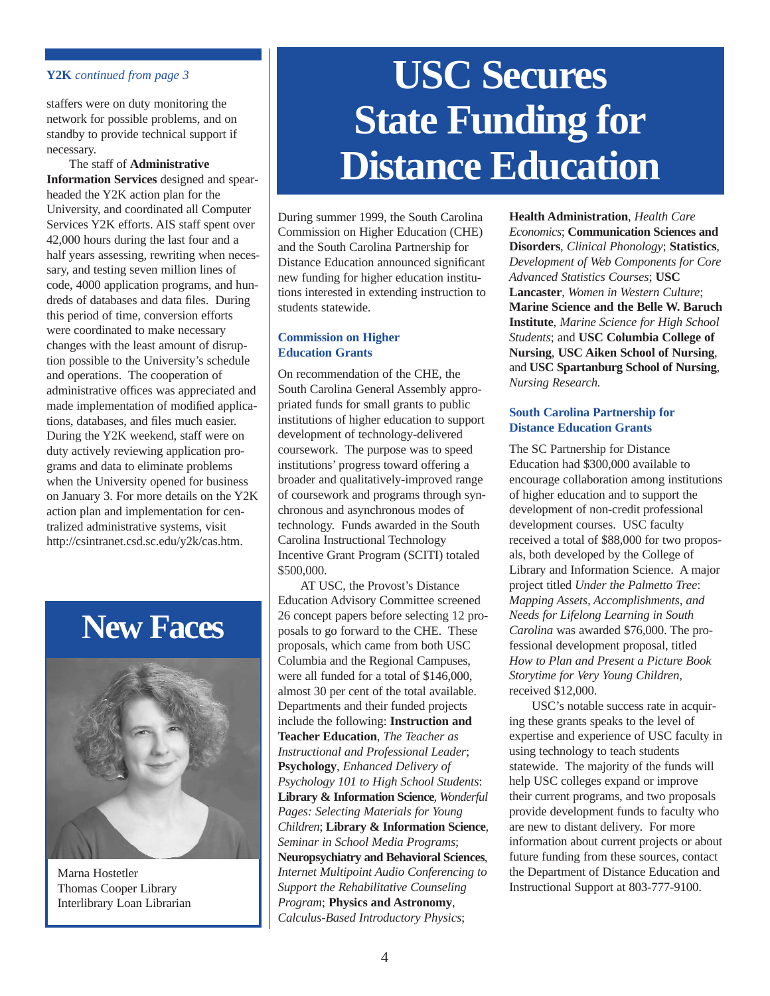#### **Y2K** *continued from page 3*

staffers were on duty monitoring the network for possible problems, and on standby to provide technical support if necessary.

The staff of **Administrative Information Services** designed and spearheaded the Y2K action plan for the University, and coordinated all Computer Services Y2K efforts. AIS staff spent over 42,000 hours during the last four and a half years assessing, rewriting when necessary, and testing seven million lines of code, 4000 application programs, and hundreds of databases and data files. During this period of time, conversion efforts were coordinated to make necessary changes with the least amount of disruption possible to the University's schedule and operations. The cooperation of administrative offices was appreciated and made implementation of modified applications, databases, and files much easier. During the Y2K weekend, staff were on duty actively reviewing application programs and data to eliminate problems when the University opened for business on January 3. For more details on the Y2K action plan and implementation for centralized administrative systems, visit http://csintranet.csd.sc.edu/y2k/cas.htm.

## **New Faces**



Marna Hostetler Thomas Cooper Library Interlibrary Loan Librarian

## **USC Secures State Funding for Distance Education**

During summer 1999, the South Carolina Commission on Higher Education (CHE) and the South Carolina Partnership for Distance Education announced significant new funding for higher education institutions interested in extending instruction to students statewide.

#### **Commission on Higher Education Grants**

On recommendation of the CHE, the South Carolina General Assembly appropriated funds for small grants to public institutions of higher education to support development of technology-delivered coursework. The purpose was to speed institutions' progress toward offering a broader and qualitatively-improved range of coursework and programs through synchronous and asynchronous modes of technology. Funds awarded in the South Carolina Instructional Technology Incentive Grant Program (SCITI) totaled \$500,000.

AT USC, the Provost's Distance Education Advisory Committee screened 26 concept papers before selecting 12 proposals to go forward to the CHE. These proposals, which came from both USC Columbia and the Regional Campuses, were all funded for a total of \$146,000, almost 30 per cent of the total available. Departments and their funded projects include the following: **Instruction and Teacher Education**, *The Teacher as Instructional and Professional Leader*; **Psychology**, *Enhanced Delivery of Psychology 101 to High School Students*: **Library & Information Science**, *Wonderful Pages: Selecting Materials for Young Children*; **Library & Information Science**, *Seminar in School Media Programs*; **Neuropsychiatry and Behavioral Sciences**, *Internet Multipoint Audio Conferencing to Support the Rehabilitative Counseling Program*; **Physics and Astronomy**, *Calculus-Based Introductory Physics*;

**Health Administration**, *Health Care Economics*; **Communication Sciences and Disorders**, *Clinical Phonology*; **Statistics**, *Development of Web Components for Core Advanced Statistics Courses*; **USC Lancaster**, *Women in Western Culture*; **Marine Science and the Belle W. Baruch Institute**, *Marine Science for High School Students*; and **USC Columbia College of Nursing**, **USC Aiken School of Nursing**, and **USC Spartanburg School of Nursing**, *Nursing Research.*

#### **South Carolina Partnership for Distance Education Grants**

The SC Partnership for Distance Education had \$300,000 available to encourage collaboration among institutions of higher education and to support the development of non-credit professional development courses. USC faculty received a total of \$88,000 for two proposals, both developed by the College of Library and Information Science. A major project titled *Under the Palmetto Tree*: *Mapping Assets, Accomplishments, and Needs for Lifelong Learning in South Carolina* was awarded \$76,000. The professional development proposal, titled *How to Plan and Present a Picture Book Storytime for Very Young Children,* received \$12,000.

USC's notable success rate in acquiring these grants speaks to the level of expertise and experience of USC faculty in using technology to teach students statewide. The majority of the funds will help USC colleges expand or improve their current programs, and two proposals provide development funds to faculty who are new to distant delivery. For more information about current projects or about future funding from these sources, contact the Department of Distance Education and Instructional Support at 803-777-9100.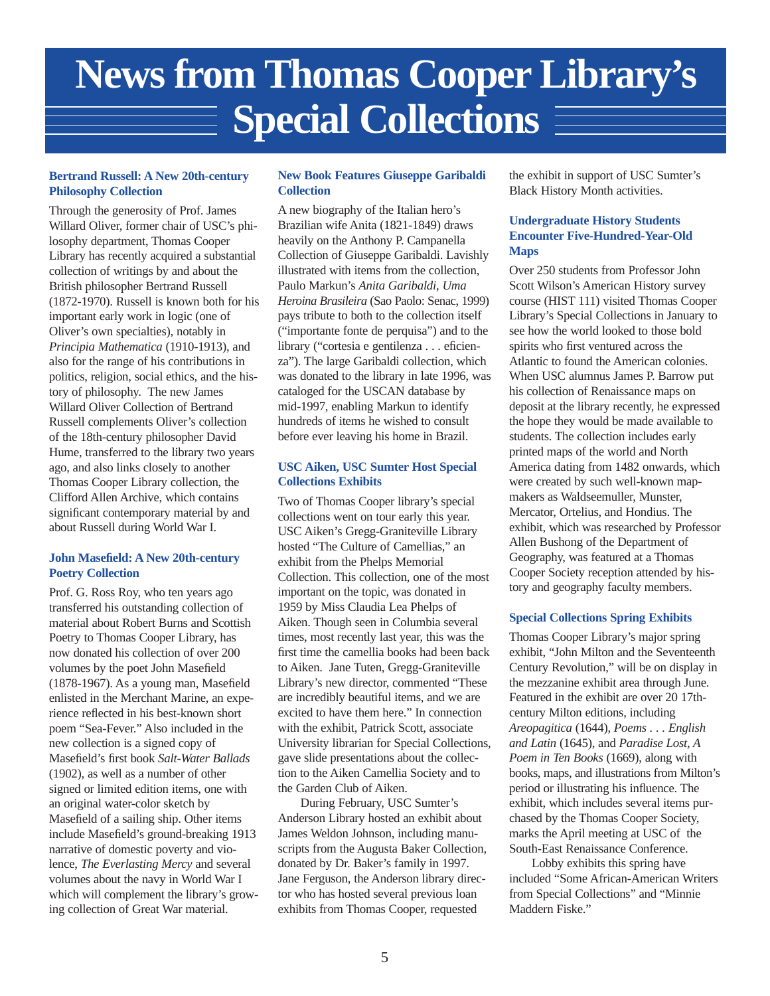## **News from Thomas Cooper Library's Special Collections**

#### **Bertrand Russell: A New 20th-century Philosophy Collection**

Through the generosity of Prof. James Willard Oliver, former chair of USC's philosophy department, Thomas Cooper Library has recently acquired a substantial collection of writings by and about the British philosopher Bertrand Russell (1872-1970). Russell is known both for his important early work in logic (one of Oliver's own specialties), notably in *Principia Mathematica* (1910-1913), and also for the range of his contributions in politics, religion, social ethics, and the history of philosophy. The new James Willard Oliver Collection of Bertrand Russell complements Oliver's collection of the 18th-century philosopher David Hume, transferred to the library two years ago, and also links closely to another Thomas Cooper Library collection, the Clifford Allen Archive, which contains significant contemporary material by and about Russell during World War I.

#### **John Masefield: A New 20th-century Poetry Collection**

Prof. G. Ross Roy, who ten years ago transferred his outstanding collection of material about Robert Burns and Scottish Poetry to Thomas Cooper Library, has now donated his collection of over 200 volumes by the poet John Masefield (1878-1967). As a young man, Masefield enlisted in the Merchant Marine, an experience reflected in his best-known short poem "Sea-Fever." Also included in the new collection is a signed copy of Masefield's first book *Salt-Water Ballads* (1902), as well as a number of other signed or limited edition items, one with an original water-color sketch by Masefield of a sailing ship. Other items include Masefield's ground-breaking 1913 narrative of domestic poverty and violence, *The Everlasting Mercy* and several volumes about the navy in World War I which will complement the library's growing collection of Great War material.

#### **New Book Features Giuseppe Garibaldi Collection**

A new biography of the Italian hero's Brazilian wife Anita (1821-1849) draws heavily on the Anthony P. Campanella Collection of Giuseppe Garibaldi. Lavishly illustrated with items from the collection, Paulo Markun's *Anita Garibaldi, Uma Heroina Brasileira* (Sao Paolo: Senac, 1999) pays tribute to both to the collection itself ("importante fonte de perquisa") and to the library ("cortesia e gentilenza . . . eficienza"). The large Garibaldi collection, which was donated to the library in late 1996, was cataloged for the USCAN database by mid-1997, enabling Markun to identify hundreds of items he wished to consult before ever leaving his home in Brazil.

#### **USC Aiken, USC Sumter Host Special Collections Exhibits**

Two of Thomas Cooper library's special collections went on tour early this year. USC Aiken's Gregg-Graniteville Library hosted "The Culture of Camellias," an exhibit from the Phelps Memorial Collection. This collection, one of the most important on the topic, was donated in 1959 by Miss Claudia Lea Phelps of Aiken. Though seen in Columbia several times, most recently last year, this was the first time the camellia books had been back to Aiken. Jane Tuten, Gregg-Graniteville Library's new director, commented "These are incredibly beautiful items, and we are excited to have them here." In connection with the exhibit, Patrick Scott, associate University librarian for Special Collections, gave slide presentations about the collection to the Aiken Camellia Society and to the Garden Club of Aiken.

During February, USC Sumter's Anderson Library hosted an exhibit about James Weldon Johnson, including manuscripts from the Augusta Baker Collection, donated by Dr. Baker's family in 1997. Jane Ferguson, the Anderson library director who has hosted several previous loan exhibits from Thomas Cooper, requested

the exhibit in support of USC Sumter's Black History Month activities.

#### **Undergraduate History Students Encounter Five-Hundred-Year-Old Maps**

Over 250 students from Professor John Scott Wilson's American History survey course (HIST 111) visited Thomas Cooper Library's Special Collections in January to see how the world looked to those bold spirits who first ventured across the Atlantic to found the American colonies. When USC alumnus James P. Barrow put his collection of Renaissance maps on deposit at the library recently, he expressed the hope they would be made available to students. The collection includes early printed maps of the world and North America dating from 1482 onwards, which were created by such well-known mapmakers as Waldseemuller, Munster, Mercator, Ortelius, and Hondius. The exhibit, which was researched by Professor Allen Bushong of the Department of Geography, was featured at a Thomas Cooper Society reception attended by history and geography faculty members.

#### **Special Collections Spring Exhibits**

Thomas Cooper Library's major spring exhibit, "John Milton and the Seventeenth Century Revolution," will be on display in the mezzanine exhibit area through June. Featured in the exhibit are over 20 17thcentury Milton editions, including *Areopagitica* (1644), *Poems . . . English and Latin* (1645), and *Paradise Lost, A Poem in Ten Books* (1669), along with books, maps, and illustrations from Milton's period or illustrating his influence. The exhibit, which includes several items purchased by the Thomas Cooper Society, marks the April meeting at USC of the South-East Renaissance Conference.

Lobby exhibits this spring have included "Some African-American Writers from Special Collections" and "Minnie Maddern Fiske."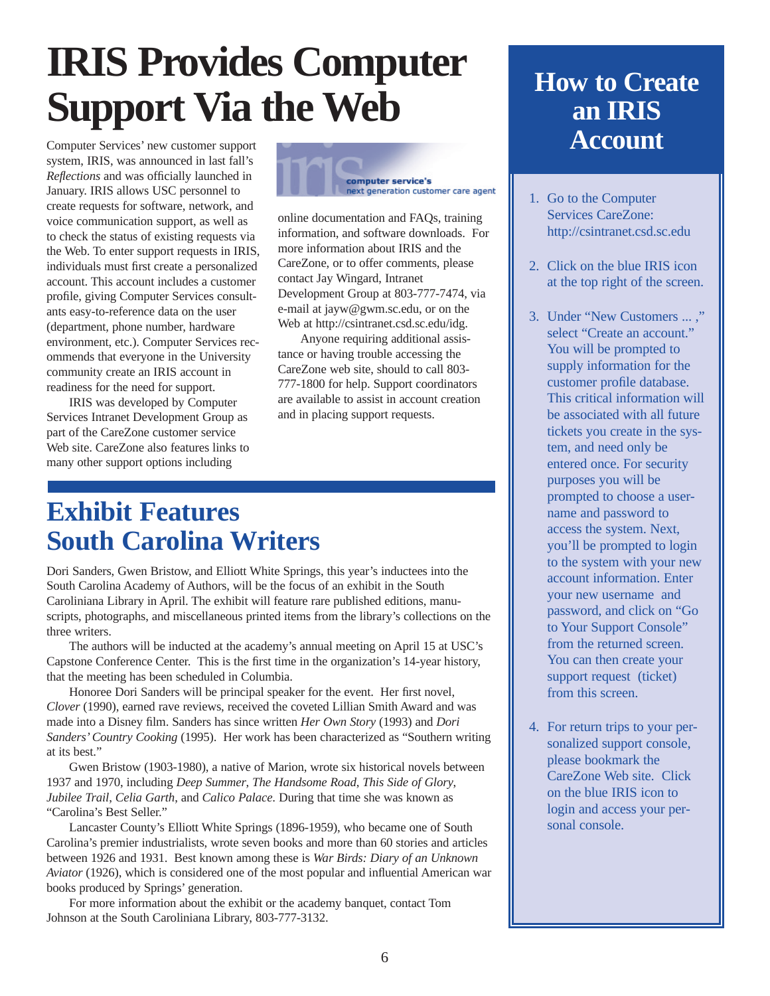## **IRIS Provides Computer Support Via the Web**

Computer Services' new customer support system, IRIS, was announced in last fall's *Reflections* and was officially launched in January. IRIS allows USC personnel to create requests for software, network, and voice communication support, as well as to check the status of existing requests via the Web. To enter support requests in IRIS, individuals must first create a personalized account. This account includes a customer profile, giving Computer Services consultants easy-to-reference data on the user (department, phone number, hardware environment, etc.). Computer Services recommends that everyone in the University community create an IRIS account in readiness for the need for support.

IRIS was developed by Computer Services Intranet Development Group as part of the CareZone customer service Web site. CareZone also features links to many other support options including



online documentation and FAQs, training information, and software downloads. For more information about IRIS and the CareZone, or to offer comments, please contact Jay Wingard, Intranet Development Group at 803-777-7474, via e-mail at jayw@gwm.sc.edu, or on the Web at http://csintranet.csd.sc.edu/idg.

Anyone requiring additional assistance or having trouble accessing the CareZone web site, should to call 803- 777-1800 for help. Support coordinators are available to assist in account creation and in placing support requests.

## **Exhibit Features South Carolina Writers**

Dori Sanders, Gwen Bristow, and Elliott White Springs, this year's inductees into the South Carolina Academy of Authors, will be the focus of an exhibit in the South Caroliniana Library in April. The exhibit will feature rare published editions, manuscripts, photographs, and miscellaneous printed items from the library's collections on the three writers.

The authors will be inducted at the academy's annual meeting on April 15 at USC's Capstone Conference Center. This is the first time in the organization's 14-year history, that the meeting has been scheduled in Columbia.

Honoree Dori Sanders will be principal speaker for the event. Her first novel, *Clover* (1990), earned rave reviews, received the coveted Lillian Smith Award and was made into a Disney film. Sanders has since written *Her Own Story* (1993) and *Dori Sanders'Country Cooking* (1995). Her work has been characterized as "Southern writing at its best."

Gwen Bristow (1903-1980), a native of Marion, wrote six historical novels between 1937 and 1970, including *Deep Summer*, *The Handsome Road*, *This Side of Glory*, *Jubilee Trail*, *Celia Garth*, and *Calico Palace*. During that time she was known as "Carolina's Best Seller."

Lancaster County's Elliott White Springs (1896-1959), who became one of South Carolina's premier industrialists, wrote seven books and more than 60 stories and articles between 1926 and 1931. Best known among these is *War Birds: Diary of an Unknown Aviator* (1926), which is considered one of the most popular and influential American war books produced by Springs' generation.

For more information about the exhibit or the academy banquet, contact Tom Johnson at the South Caroliniana Library, 803-777-3132.

### **How to Create an IRIS Account**

- 1. Go to the Computer Services CareZone: http://csintranet.csd.sc.edu
- 2. Click on the blue IRIS icon at the top right of the screen.
- 3. Under "New Customers ... ," select "Create an account." You will be prompted to supply information for the customer profile database. This critical information will be associated with all future tickets you create in the system, and need only be entered once. For security purposes you will be prompted to choose a username and password to access the system. Next, you'll be prompted to login to the system with your new account information. Enter your new username and password, and click on "Go to Your Support Console" from the returned screen. You can then create your support request (ticket) from this screen.
- 4. For return trips to your personalized support console, please bookmark the CareZone Web site. Click on the blue IRIS icon to login and access your personal console.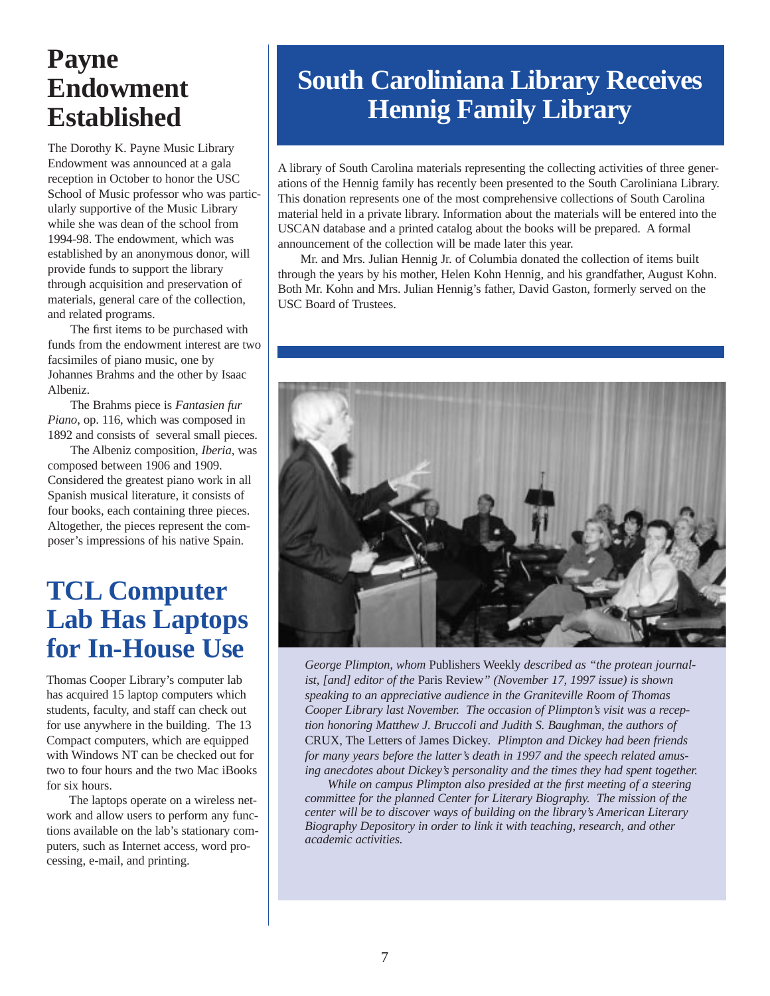## **Payne Endowment Established**

The Dorothy K. Payne Music Library Endowment was announced at a gala reception in October to honor the USC School of Music professor who was particularly supportive of the Music Library while she was dean of the school from 1994-98. The endowment, which was established by an anonymous donor, will provide funds to support the library through acquisition and preservation of materials, general care of the collection, and related programs.

The first items to be purchased with funds from the endowment interest are two facsimiles of piano music, one by Johannes Brahms and the other by Isaac Albeniz.

The Brahms piece is *Fantasien fur Piano*, op. 116, which was composed in 1892 and consists of several small pieces.

The Albeniz composition, *Iberia*, was composed between 1906 and 1909. Considered the greatest piano work in all Spanish musical literature, it consists of four books, each containing three pieces. Altogether, the pieces represent the composer's impressions of his native Spain.

### **TCL Computer Lab Has Laptops for In-House Use**

Thomas Cooper Library's computer lab has acquired 15 laptop computers which students, faculty, and staff can check out for use anywhere in the building. The 13 Compact computers, which are equipped with Windows NT can be checked out for two to four hours and the two Mac iBooks for six hours.

The laptops operate on a wireless network and allow users to perform any functions available on the lab's stationary computers, such as Internet access, word processing, e-mail, and printing.

## **South Caroliniana Library Receives Hennig Family Library**

A library of South Carolina materials representing the collecting activities of three generations of the Hennig family has recently been presented to the South Caroliniana Library. This donation represents one of the most comprehensive collections of South Carolina material held in a private library. Information about the materials will be entered into the USCAN database and a printed catalog about the books will be prepared. A formal announcement of the collection will be made later this year.

Mr. and Mrs. Julian Hennig Jr. of Columbia donated the collection of items built through the years by his mother, Helen Kohn Hennig, and his grandfather, August Kohn. Both Mr. Kohn and Mrs. Julian Hennig's father, David Gaston, formerly served on the USC Board of Trustees.



*George Plimpton, whom* Publishers Weekly *described as "the protean journalist, [and] editor of the* Paris Review*" (November 17, 1997 issue) is shown speaking to an appreciative audience in the Graniteville Room of Thomas Cooper Library last November. The occasion of Plimpton's visit was a reception honoring Matthew J. Bruccoli and Judith S. Baughman, the authors of* CRUX, The Letters of James Dickey*. Plimpton and Dickey had been friends for many years before the latter's death in 1997 and the speech related amusing anecdotes about Dickey's personality and the times they had spent together.*

*While on campus Plimpton also presided at the first meeting of a steering committee for the planned Center for Literary Biography. The mission of the center will be to discover ways of building on the library's American Literary Biography Depository in order to link it with teaching, research, and other academic activities.*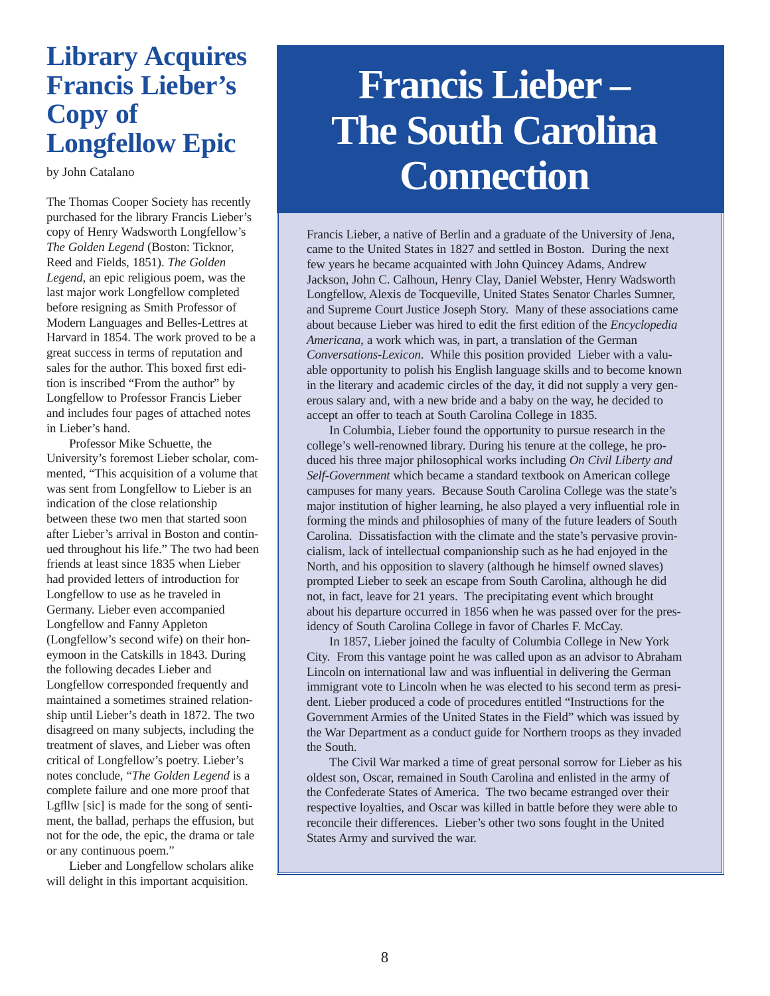### **Library Acquires Francis Lieber's Copy of Longfellow Epic**

by John Catalano

The Thomas Cooper Society has recently purchased for the library Francis Lieber's copy of Henry Wadsworth Longfellow's *The Golden Legend* (Boston: Ticknor, Reed and Fields, 1851). *The Golden Legend*, an epic religious poem, was the last major work Longfellow completed before resigning as Smith Professor of Modern Languages and Belles-Lettres at Harvard in 1854. The work proved to be a great success in terms of reputation and sales for the author. This boxed first edition is inscribed "From the author" by Longfellow to Professor Francis Lieber and includes four pages of attached notes in Lieber's hand.

Professor Mike Schuette, the University's foremost Lieber scholar, commented, "This acquisition of a volume that was sent from Longfellow to Lieber is an indication of the close relationship between these two men that started soon after Lieber's arrival in Boston and continued throughout his life." The two had been friends at least since 1835 when Lieber had provided letters of introduction for Longfellow to use as he traveled in Germany. Lieber even accompanied Longfellow and Fanny Appleton (Longfellow's second wife) on their honeymoon in the Catskills in 1843. During the following decades Lieber and Longfellow corresponded frequently and maintained a sometimes strained relationship until Lieber's death in 1872. The two disagreed on many subjects, including the treatment of slaves, and Lieber was often critical of Longfellow's poetry. Lieber's notes conclude, "*The Golden Legend* is a complete failure and one more proof that Lgfllw [sic] is made for the song of sentiment, the ballad, perhaps the effusion, but not for the ode, the epic, the drama or tale or any continuous poem."

Lieber and Longfellow scholars alike will delight in this important acquisition.

## **Francis Lieber – The South Carolina Connection**

Francis Lieber, a native of Berlin and a graduate of the University of Jena, came to the United States in 1827 and settled in Boston. During the next few years he became acquainted with John Quincey Adams, Andrew Jackson, John C. Calhoun, Henry Clay, Daniel Webster, Henry Wadsworth Longfellow, Alexis de Tocqueville, United States Senator Charles Sumner, and Supreme Court Justice Joseph Story. Many of these associations came about because Lieber was hired to edit the first edition of the *Encyclopedia Americana*, a work which was, in part, a translation of the German *Conversations-Lexicon*. While this position provided Lieber with a valuable opportunity to polish his English language skills and to become known in the literary and academic circles of the day, it did not supply a very generous salary and, with a new bride and a baby on the way, he decided to accept an offer to teach at South Carolina College in 1835.

In Columbia, Lieber found the opportunity to pursue research in the college's well-renowned library. During his tenure at the college, he produced his three major philosophical works including *On Civil Liberty and Self-Government* which became a standard textbook on American college campuses for many years. Because South Carolina College was the state's major institution of higher learning, he also played a very influential role in forming the minds and philosophies of many of the future leaders of South Carolina. Dissatisfaction with the climate and the state's pervasive provincialism, lack of intellectual companionship such as he had enjoyed in the North, and his opposition to slavery (although he himself owned slaves) prompted Lieber to seek an escape from South Carolina, although he did not, in fact, leave for 21 years. The precipitating event which brought about his departure occurred in 1856 when he was passed over for the presidency of South Carolina College in favor of Charles F. McCay.

In 1857, Lieber joined the faculty of Columbia College in New York City. From this vantage point he was called upon as an advisor to Abraham Lincoln on international law and was influential in delivering the German immigrant vote to Lincoln when he was elected to his second term as president. Lieber produced a code of procedures entitled "Instructions for the Government Armies of the United States in the Field" which was issued by the War Department as a conduct guide for Northern troops as they invaded the South.

The Civil War marked a time of great personal sorrow for Lieber as his oldest son, Oscar, remained in South Carolina and enlisted in the army of the Confederate States of America. The two became estranged over their respective loyalties, and Oscar was killed in battle before they were able to reconcile their differences. Lieber's other two sons fought in the United States Army and survived the war.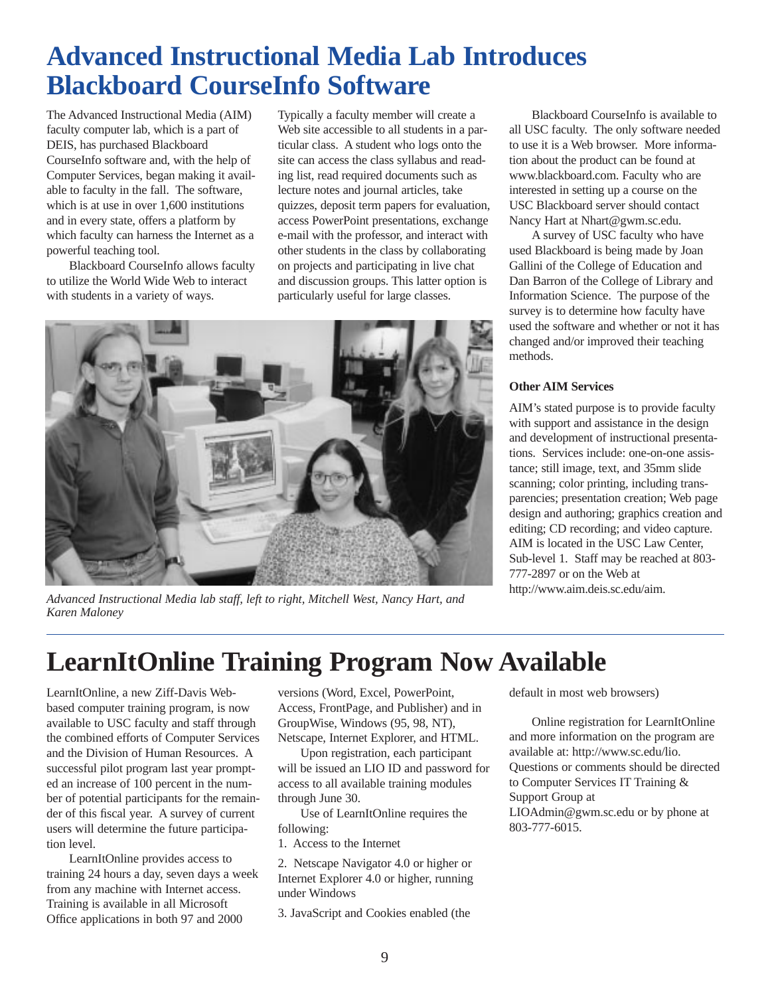## **Advanced Instructional Media Lab Introduces Blackboard CourseInfo Software**

The Advanced Instructional Media (AIM) faculty computer lab, which is a part of DEIS, has purchased Blackboard CourseInfo software and, with the help of Computer Services, began making it available to faculty in the fall. The software, which is at use in over 1,600 institutions and in every state, offers a platform by which faculty can harness the Internet as a powerful teaching tool.

Blackboard CourseInfo allows faculty to utilize the World Wide Web to interact with students in a variety of ways.

Typically a faculty member will create a Web site accessible to all students in a particular class. A student who logs onto the site can access the class syllabus and reading list, read required documents such as lecture notes and journal articles, take quizzes, deposit term papers for evaluation, access PowerPoint presentations, exchange e-mail with the professor, and interact with other students in the class by collaborating on projects and participating in live chat and discussion groups. This latter option is particularly useful for large classes.



*Advanced Instructional Media lab staff, left to right, Mitchell West, Nancy Hart, and Karen Maloney*

Blackboard CourseInfo is available to all USC faculty. The only software needed to use it is a Web browser. More information about the product can be found at www.blackboard.com. Faculty who are interested in setting up a course on the USC Blackboard server should contact Nancy Hart at Nhart@gwm.sc.edu.

A survey of USC faculty who have used Blackboard is being made by Joan Gallini of the College of Education and Dan Barron of the College of Library and Information Science. The purpose of the survey is to determine how faculty have used the software and whether or not it has changed and/or improved their teaching methods.

#### **Other AIM Services**

AIM's stated purpose is to provide faculty with support and assistance in the design and development of instructional presentations. Services include: one-on-one assistance; still image, text, and 35mm slide scanning; color printing, including transparencies; presentation creation; Web page design and authoring; graphics creation and editing; CD recording; and video capture. AIM is located in the USC Law Center, Sub-level 1. Staff may be reached at 803- 777-2897 or on the Web at http://www.aim.deis.sc.edu/aim.

## **LearnItOnline Training Program Now Available**

LearnItOnline, a new Ziff-Davis Webbased computer training program, is now available to USC faculty and staff through the combined efforts of Computer Services and the Division of Human Resources. A successful pilot program last year prompted an increase of 100 percent in the number of potential participants for the remainder of this fiscal year. A survey of current users will determine the future participation level.

LearnItOnline provides access to training 24 hours a day, seven days a week from any machine with Internet access. Training is available in all Microsoft Office applications in both 97 and 2000

versions (Word, Excel, PowerPoint, Access, FrontPage, and Publisher) and in GroupWise, Windows (95, 98, NT), Netscape, Internet Explorer, and HTML.

Upon registration, each participant will be issued an LIO ID and password for access to all available training modules through June 30.

Use of LearnItOnline requires the following:

1. Access to the Internet

2. Netscape Navigator 4.0 or higher or Internet Explorer 4.0 or higher, running under Windows

3. JavaScript and Cookies enabled (the

default in most web browsers)

Online registration for LearnItOnline and more information on the program are available at: http://www.sc.edu/lio. Questions or comments should be directed to Computer Services IT Training & Support Group at LIOAdmin@gwm.sc.edu or by phone at 803-777-6015.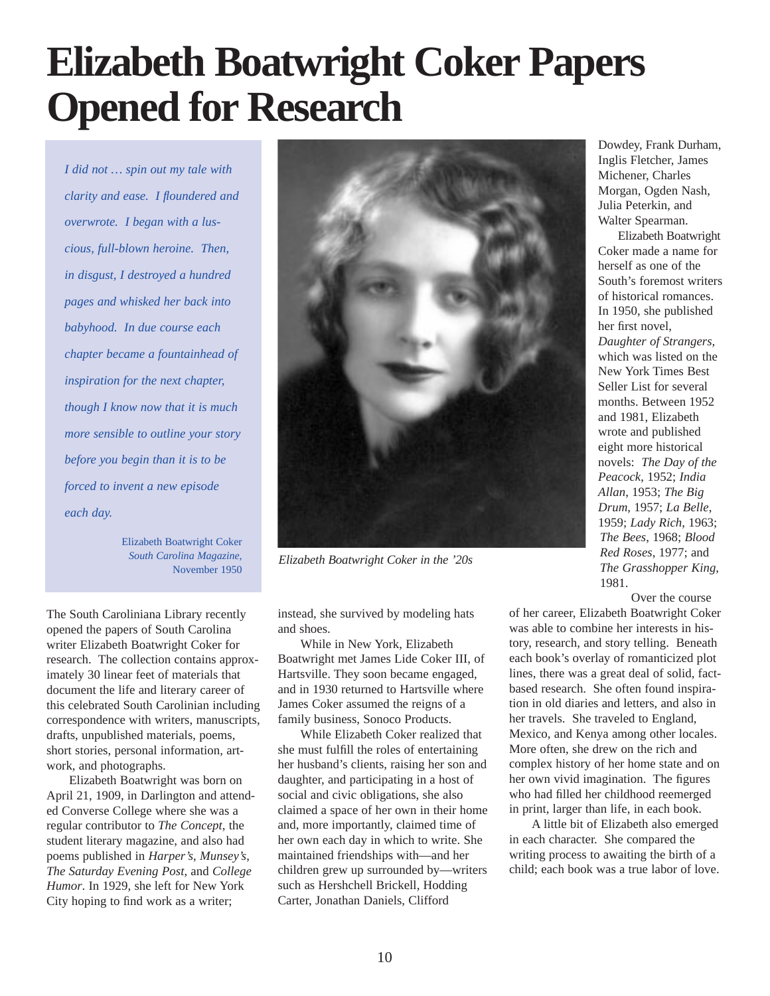## **Elizabeth Boatwright Coker Papers Opened for Research**

*I did not … spin out my tale with clarity and ease. I floundered and overwrote. I began with a luscious, full-blown heroine. Then, in disgust, I destroyed a hundred pages and whisked her back into babyhood. In due course each chapter became a fountainhead of inspiration for the next chapter, though I know now that it is much more sensible to outline your story before you begin than it is to be forced to invent a new episode each day.*

> Elizabeth Boatwright Coker *South Carolina Magazine*, November 1950

The South Caroliniana Library recently opened the papers of South Carolina writer Elizabeth Boatwright Coker for research. The collection contains approximately 30 linear feet of materials that document the life and literary career of this celebrated South Carolinian including correspondence with writers, manuscripts, drafts, unpublished materials, poems, short stories, personal information, artwork, and photographs.

Elizabeth Boatwright was born on April 21, 1909, in Darlington and attended Converse College where she was a regular contributor to *The Concept*, the student literary magazine, and also had poems published in *Harper's*, *Munsey's*, *The Saturday Evening Post*, and *College Humor*. In 1929, she left for New York City hoping to find work as a writer;



*Elizabeth Boatwright Coker in the '20s*

instead, she survived by modeling hats and shoes.

While in New York, Elizabeth Boatwright met James Lide Coker III, of Hartsville. They soon became engaged, and in 1930 returned to Hartsville where James Coker assumed the reigns of a family business, Sonoco Products.

While Elizabeth Coker realized that she must fulfill the roles of entertaining her husband's clients, raising her son and daughter, and participating in a host of social and civic obligations, she also claimed a space of her own in their home and, more importantly, claimed time of her own each day in which to write. She maintained friendships with—and her children grew up surrounded by—writers such as Hershchell Brickell, Hodding Carter, Jonathan Daniels, Clifford

Dowdey, Frank Durham, Inglis Fletcher, James Michener, Charles Morgan, Ogden Nash, Julia Peterkin, and Walter Spearman.

Elizabeth Boatwright Coker made a name for herself as one of the South's foremost writers of historical romances. In 1950, she published her first novel, *Daughter of Strangers,* which was listed on the New York Times Best Seller List for several months. Between 1952 and 1981, Elizabeth wrote and published eight more historical novels: *The Day of the Peacock*, 1952; *India Allan*, 1953; *The Big Drum*, 1957; *La Belle*, 1959; *Lady Rich*, 1963; *The Bees*, 1968; *Blood Red Roses*, 1977; and *The Grasshopper King*, 1981.

Over the course

of her career, Elizabeth Boatwright Coker was able to combine her interests in history, research, and story telling. Beneath each book's overlay of romanticized plot lines, there was a great deal of solid, factbased research. She often found inspiration in old diaries and letters, and also in her travels. She traveled to England, Mexico, and Kenya among other locales. More often, she drew on the rich and complex history of her home state and on her own vivid imagination. The figures who had filled her childhood reemerged in print, larger than life, in each book.

A little bit of Elizabeth also emerged in each character. She compared the writing process to awaiting the birth of a child; each book was a true labor of love.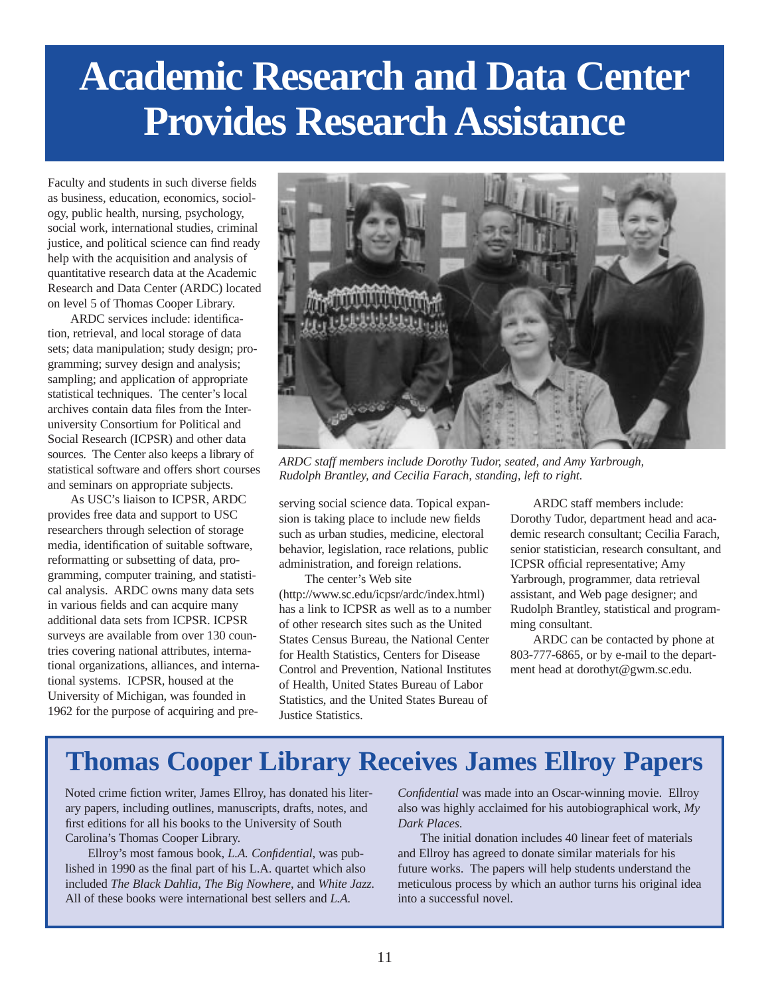## **Academic Research and Data Center Provides Research Assistance**

Faculty and students in such diverse fields as business, education, economics, sociology, public health, nursing, psychology, social work, international studies, criminal justice, and political science can find ready help with the acquisition and analysis of quantitative research data at the Academic Research and Data Center (ARDC) located on level 5 of Thomas Cooper Library.

ARDC services include: identification, retrieval, and local storage of data sets; data manipulation; study design; programming; survey design and analysis; sampling; and application of appropriate statistical techniques. The center's local archives contain data files from the Interuniversity Consortium for Political and Social Research (ICPSR) and other data sources. The Center also keeps a library of statistical software and offers short courses and seminars on appropriate subjects.

As USC's liaison to ICPSR, ARDC provides free data and support to USC researchers through selection of storage media, identification of suitable software, reformatting or subsetting of data, programming, computer training, and statistical analysis. ARDC owns many data sets in various fields and can acquire many additional data sets from ICPSR. ICPSR surveys are available from over 130 countries covering national attributes, international organizations, alliances, and international systems. ICPSR, housed at the University of Michigan, was founded in 1962 for the purpose of acquiring and pre-



*ARDC staff members include Dorothy Tudor, seated, and Amy Yarbrough, Rudolph Brantley, and Cecilia Farach, standing, left to right.*

serving social science data. Topical expansion is taking place to include new fields such as urban studies, medicine, electoral behavior, legislation, race relations, public administration, and foreign relations.

The center's Web site (http://www.sc.edu/icpsr/ardc/index.html) has a link to ICPSR as well as to a number of other research sites such as the United States Census Bureau, the National Center for Health Statistics, Centers for Disease Control and Prevention, National Institutes of Health, United States Bureau of Labor Statistics, and the United States Bureau of Justice Statistics.

ARDC staff members include: Dorothy Tudor, department head and academic research consultant; Cecilia Farach, senior statistician, research consultant, and ICPSR official representative; Amy Yarbrough, programmer, data retrieval assistant, and Web page designer; and Rudolph Brantley, statistical and programming consultant.

ARDC can be contacted by phone at 803-777-6865, or by e-mail to the department head at dorothyt@gwm.sc.edu.

## **Thomas Cooper Library Receives James Ellroy Papers**

Noted crime fiction writer, James Ellroy, has donated his literary papers, including outlines, manuscripts, drafts, notes, and first editions for all his books to the University of South Carolina's Thomas Cooper Library.

Ellroy's most famous book, *L.A. Confidential*, was published in 1990 as the final part of his L.A. quartet which also included *The Black Dahlia*, *The Big Nowhere*, and *White Jazz*. All of these books were international best sellers and *L.A.*

*Confidential* was made into an Oscar-winning movie. Ellroy also was highly acclaimed for his autobiographical work, *My Dark Places*.

The initial donation includes 40 linear feet of materials and Ellroy has agreed to donate similar materials for his future works. The papers will help students understand the meticulous process by which an author turns his original idea into a successful novel.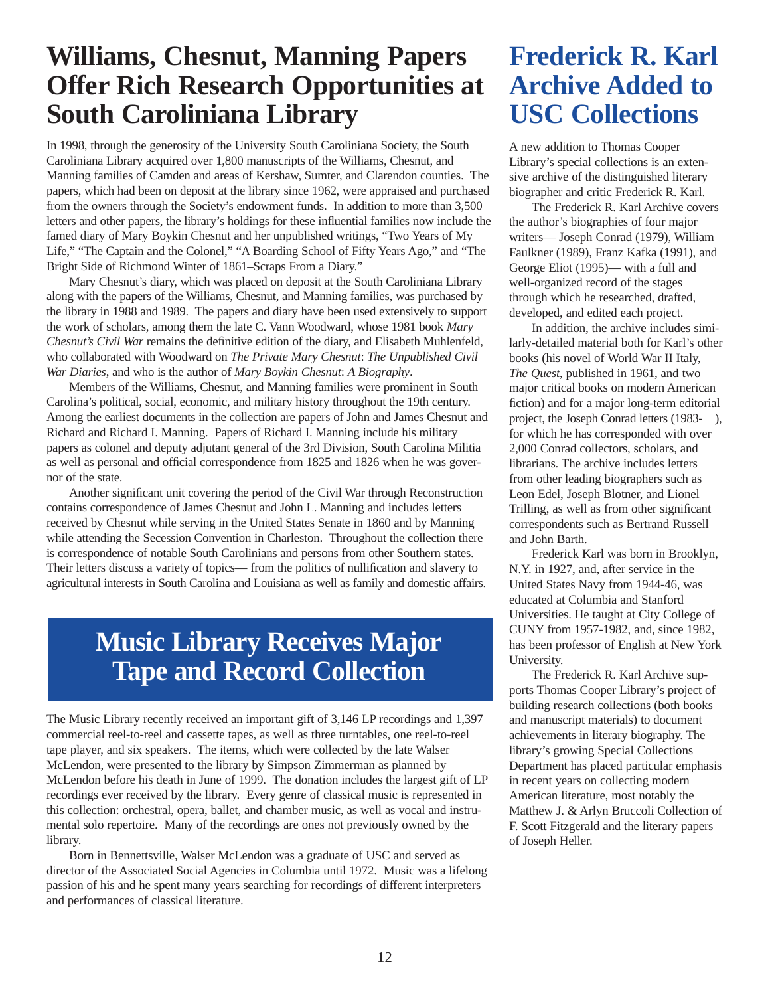## **Williams, Chesnut, Manning Papers Offer Rich Research Opportunities at South Caroliniana Library**

In 1998, through the generosity of the University South Caroliniana Society, the South Caroliniana Library acquired over 1,800 manuscripts of the Williams, Chesnut, and Manning families of Camden and areas of Kershaw, Sumter, and Clarendon counties. The papers, which had been on deposit at the library since 1962, were appraised and purchased from the owners through the Society's endowment funds. In addition to more than 3,500 letters and other papers, the library's holdings for these influential families now include the famed diary of Mary Boykin Chesnut and her unpublished writings, "Two Years of My Life," "The Captain and the Colonel," "A Boarding School of Fifty Years Ago," and "The Bright Side of Richmond Winter of 1861–Scraps From a Diary."

Mary Chesnut's diary, which was placed on deposit at the South Caroliniana Library along with the papers of the Williams, Chesnut, and Manning families, was purchased by the library in 1988 and 1989. The papers and diary have been used extensively to support the work of scholars, among them the late C. Vann Woodward, whose 1981 book *Mary Chesnut's Civil War* remains the definitive edition of the diary, and Elisabeth Muhlenfeld, who collaborated with Woodward on *The Private Mary Chesnut*: *The Unpublished Civil War Diaries*, and who is the author of *Mary Boykin Chesnut*: *A Biography*.

Members of the Williams, Chesnut, and Manning families were prominent in South Carolina's political, social, economic, and military history throughout the 19th century. Among the earliest documents in the collection are papers of John and James Chesnut and Richard and Richard I. Manning. Papers of Richard I. Manning include his military papers as colonel and deputy adjutant general of the 3rd Division, South Carolina Militia as well as personal and official correspondence from 1825 and 1826 when he was governor of the state.

Another significant unit covering the period of the Civil War through Reconstruction contains correspondence of James Chesnut and John L. Manning and includes letters received by Chesnut while serving in the United States Senate in 1860 and by Manning while attending the Secession Convention in Charleston. Throughout the collection there is correspondence of notable South Carolinians and persons from other Southern states. Their letters discuss a variety of topics— from the politics of nullification and slavery to agricultural interests in South Carolina and Louisiana as well as family and domestic affairs.

### **Music Library Receives Major Tape and Record Collection**

The Music Library recently received an important gift of 3,146 LP recordings and 1,397 commercial reel-to-reel and cassette tapes, as well as three turntables, one reel-to-reel tape player, and six speakers. The items, which were collected by the late Walser McLendon, were presented to the library by Simpson Zimmerman as planned by McLendon before his death in June of 1999. The donation includes the largest gift of LP recordings ever received by the library. Every genre of classical music is represented in this collection: orchestral, opera, ballet, and chamber music, as well as vocal and instrumental solo repertoire. Many of the recordings are ones not previously owned by the library.

Born in Bennettsville, Walser McLendon was a graduate of USC and served as director of the Associated Social Agencies in Columbia until 1972. Music was a lifelong passion of his and he spent many years searching for recordings of different interpreters and performances of classical literature.

## **Frederick R. Karl Archive Added to USC Collections**

A new addition to Thomas Cooper Library's special collections is an extensive archive of the distinguished literary biographer and critic Frederick R. Karl.

The Frederick R. Karl Archive covers the author's biographies of four major writers— Joseph Conrad (1979), William Faulkner (1989), Franz Kafka (1991), and George Eliot (1995)— with a full and well-organized record of the stages through which he researched, drafted, developed, and edited each project.

In addition, the archive includes similarly-detailed material both for Karl's other books (his novel of World War II Italy, *The Quest*, published in 1961, and two major critical books on modern American fiction) and for a major long-term editorial project, the Joseph Conrad letters (1983- ), for which he has corresponded with over 2,000 Conrad collectors, scholars, and librarians. The archive includes letters from other leading biographers such as Leon Edel, Joseph Blotner, and Lionel Trilling, as well as from other significant correspondents such as Bertrand Russell and John Barth.

Frederick Karl was born in Brooklyn, N.Y. in 1927, and, after service in the United States Navy from 1944-46, was educated at Columbia and Stanford Universities. He taught at City College of CUNY from 1957-1982, and, since 1982, has been professor of English at New York University.

The Frederick R. Karl Archive supports Thomas Cooper Library's project of building research collections (both books and manuscript materials) to document achievements in literary biography. The library's growing Special Collections Department has placed particular emphasis in recent years on collecting modern American literature, most notably the Matthew J. & Arlyn Bruccoli Collection of F. Scott Fitzgerald and the literary papers of Joseph Heller.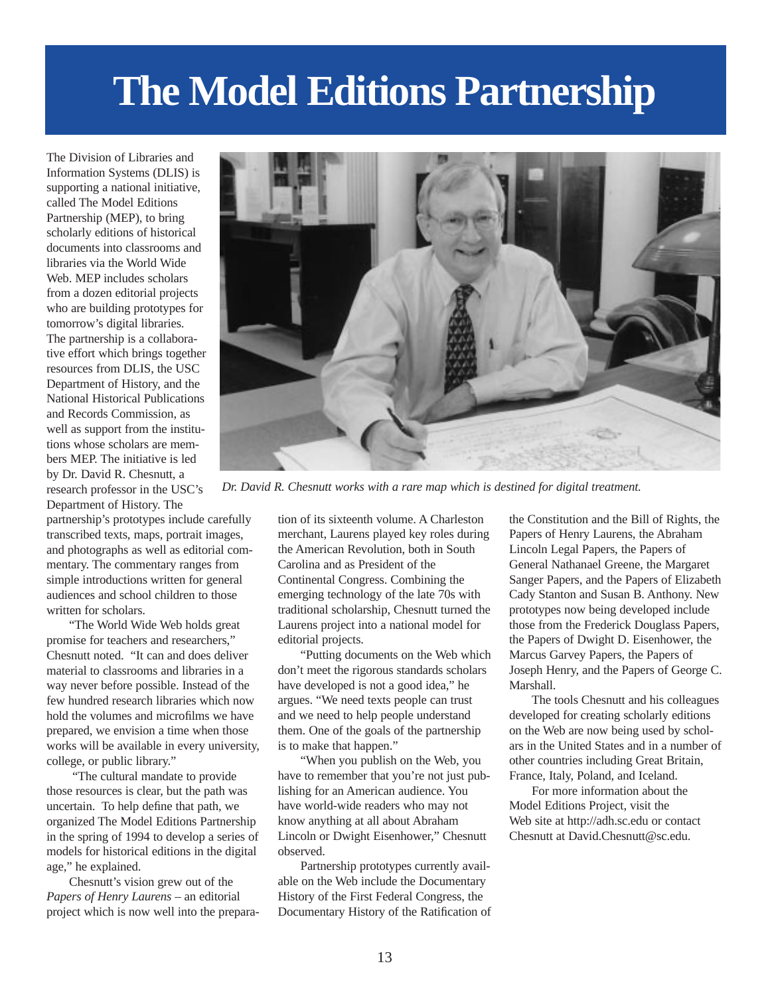## **The Model Editions Partnership**

The Division of Libraries and Information Systems (DLIS) is supporting a national initiative, called The Model Editions Partnership (MEP), to bring scholarly editions of historical documents into classrooms and libraries via the World Wide Web. MEP includes scholars from a dozen editorial projects who are building prototypes for tomorrow's digital libraries. The partnership is a collaborative effort which brings together resources from DLIS, the USC Department of History, and the National Historical Publications and Records Commission, as well as support from the institutions whose scholars are members MEP. The initiative is led by Dr. David R. Chesnutt, a research professor in the USC's Department of History. The

partnership's prototypes include carefully transcribed texts, maps, portrait images, and photographs as well as editorial commentary. The commentary ranges from simple introductions written for general audiences and school children to those written for scholars.

"The World Wide Web holds great promise for teachers and researchers," Chesnutt noted. "It can and does deliver material to classrooms and libraries in a way never before possible. Instead of the few hundred research libraries which now hold the volumes and microfilms we have prepared, we envision a time when those works will be available in every university, college, or public library."

"The cultural mandate to provide those resources is clear, but the path was uncertain. To help define that path, we organized The Model Editions Partnership in the spring of 1994 to develop a series of models for historical editions in the digital age," he explained.

Chesnutt's vision grew out of the *Papers of Henry Laurens* – an editorial project which is now well into the prepara-



*Dr. David R. Chesnutt works with a rare map which is destined for digital treatment.*

tion of its sixteenth volume. A Charleston merchant, Laurens played key roles during the American Revolution, both in South Carolina and as President of the Continental Congress. Combining the emerging technology of the late 70s with traditional scholarship, Chesnutt turned the Laurens project into a national model for editorial projects.

"Putting documents on the Web which don't meet the rigorous standards scholars have developed is not a good idea," he argues. "We need texts people can trust and we need to help people understand them. One of the goals of the partnership is to make that happen."

"When you publish on the Web, you have to remember that you're not just publishing for an American audience. You have world-wide readers who may not know anything at all about Abraham Lincoln or Dwight Eisenhower," Chesnutt observed.

Partnership prototypes currently available on the Web include the Documentary History of the First Federal Congress, the Documentary History of the Ratification of

the Constitution and the Bill of Rights, the Papers of Henry Laurens, the Abraham Lincoln Legal Papers, the Papers of General Nathanael Greene, the Margaret Sanger Papers, and the Papers of Elizabeth Cady Stanton and Susan B. Anthony. New prototypes now being developed include those from the Frederick Douglass Papers, the Papers of Dwight D. Eisenhower, the Marcus Garvey Papers, the Papers of Joseph Henry, and the Papers of George C. Marshall.

The tools Chesnutt and his colleagues developed for creating scholarly editions on the Web are now being used by scholars in the United States and in a number of other countries including Great Britain, France, Italy, Poland, and Iceland.

For more information about the Model Editions Project, visit the Web site at http://adh.sc.edu or contact Chesnutt at David.Chesnutt@sc.edu.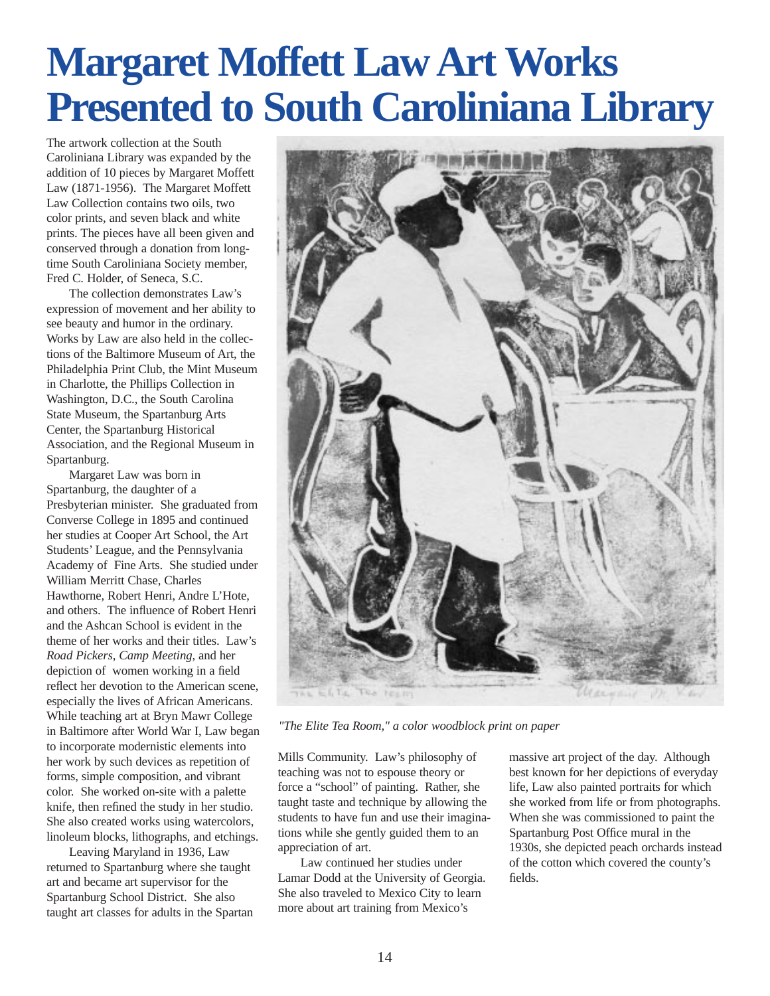## **Margaret Moffett Law Art Works Presented to South Caroliniana Library**

The artwork collection at the South Caroliniana Library was expanded by the addition of 10 pieces by Margaret Moffett Law (1871-1956). The Margaret Moffett Law Collection contains two oils, two color prints, and seven black and white prints. The pieces have all been given and conserved through a donation from longtime South Caroliniana Society member, Fred C. Holder, of Seneca, S.C.

The collection demonstrates Law's expression of movement and her ability to see beauty and humor in the ordinary. Works by Law are also held in the collections of the Baltimore Museum of Art, the Philadelphia Print Club, the Mint Museum in Charlotte, the Phillips Collection in Washington, D.C., the South Carolina State Museum, the Spartanburg Arts Center, the Spartanburg Historical Association, and the Regional Museum in Spartanburg.

Margaret Law was born in Spartanburg, the daughter of a Presbyterian minister. She graduated from Converse College in 1895 and continued her studies at Cooper Art School, the Art Students' League, and the Pennsylvania Academy of Fine Arts. She studied under William Merritt Chase, Charles Hawthorne, Robert Henri, Andre L'Hote, and others. The influence of Robert Henri and the Ashcan School is evident in the theme of her works and their titles. Law's *Road Pickers*, *Camp Meeting*, and her depiction of women working in a field reflect her devotion to the American scene, especially the lives of African Americans. While teaching art at Bryn Mawr College in Baltimore after World War I, Law began to incorporate modernistic elements into her work by such devices as repetition of forms, simple composition, and vibrant color. She worked on-site with a palette knife, then refined the study in her studio. She also created works using watercolors, linoleum blocks, lithographs, and etchings.

Leaving Maryland in 1936, Law returned to Spartanburg where she taught art and became art supervisor for the Spartanburg School District. She also taught art classes for adults in the Spartan



*"The Elite Tea Room," a color woodblock print on paper*

Mills Community. Law's philosophy of teaching was not to espouse theory or force a "school" of painting. Rather, she taught taste and technique by allowing the students to have fun and use their imaginations while she gently guided them to an appreciation of art.

Law continued her studies under Lamar Dodd at the University of Georgia. She also traveled to Mexico City to learn more about art training from Mexico's

massive art project of the day. Although best known for her depictions of everyday life, Law also painted portraits for which she worked from life or from photographs. When she was commissioned to paint the Spartanburg Post Office mural in the 1930s, she depicted peach orchards instead of the cotton which covered the county's fields.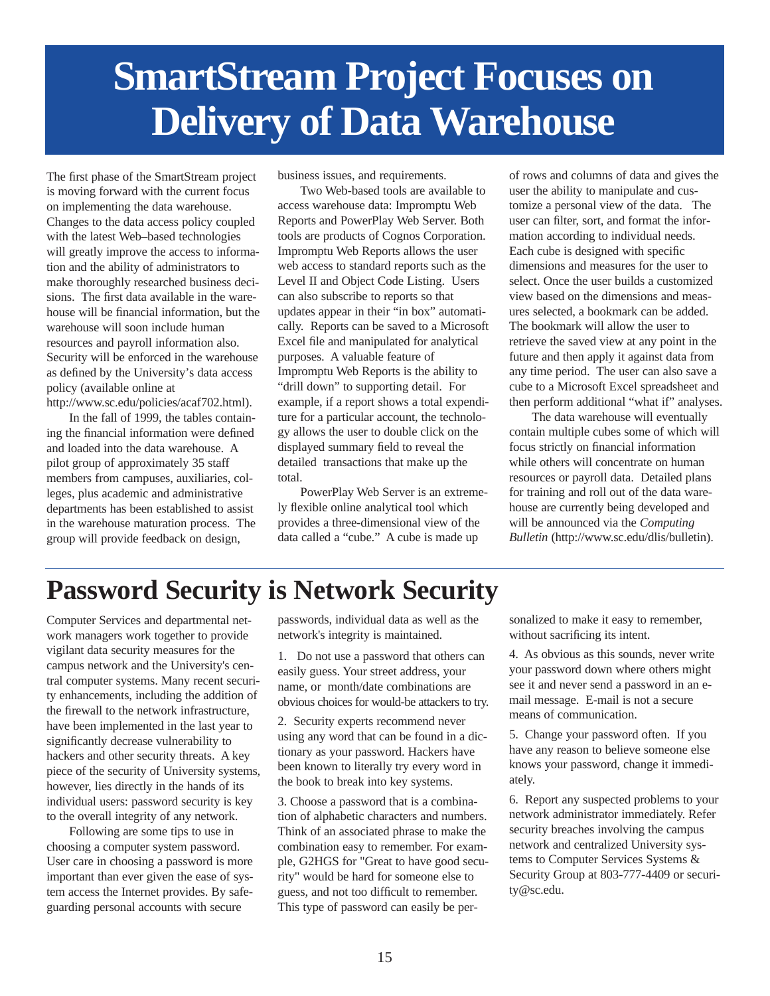## **SmartStream Project Focuses on Delivery of Data Warehouse**

The first phase of the SmartStream project is moving forward with the current focus on implementing the data warehouse. Changes to the data access policy coupled with the latest Web–based technologies will greatly improve the access to information and the ability of administrators to make thoroughly researched business decisions. The first data available in the warehouse will be financial information, but the warehouse will soon include human resources and payroll information also. Security will be enforced in the warehouse as defined by the University's data access policy (available online at http://www.sc.edu/policies/acaf702.html).

In the fall of 1999, the tables containing the financial information were defined and loaded into the data warehouse. A pilot group of approximately 35 staff members from campuses, auxiliaries, colleges, plus academic and administrative departments has been established to assist in the warehouse maturation process. The group will provide feedback on design,

business issues, and requirements.

Two Web-based tools are available to access warehouse data: Impromptu Web Reports and PowerPlay Web Server. Both tools are products of Cognos Corporation. Impromptu Web Reports allows the user web access to standard reports such as the Level II and Object Code Listing. Users can also subscribe to reports so that updates appear in their "in box" automatically. Reports can be saved to a Microsoft Excel file and manipulated for analytical purposes. A valuable feature of Impromptu Web Reports is the ability to "drill down" to supporting detail. For example, if a report shows a total expenditure for a particular account, the technology allows the user to double click on the displayed summary field to reveal the detailed transactions that make up the total.

PowerPlay Web Server is an extremely flexible online analytical tool which provides a three-dimensional view of the data called a "cube." A cube is made up

of rows and columns of data and gives the user the ability to manipulate and customize a personal view of the data. The user can filter, sort, and format the information according to individual needs. Each cube is designed with specific dimensions and measures for the user to select. Once the user builds a customized view based on the dimensions and measures selected, a bookmark can be added. The bookmark will allow the user to retrieve the saved view at any point in the future and then apply it against data from any time period. The user can also save a cube to a Microsoft Excel spreadsheet and then perform additional "what if" analyses.

The data warehouse will eventually contain multiple cubes some of which will focus strictly on financial information while others will concentrate on human resources or payroll data. Detailed plans for training and roll out of the data warehouse are currently being developed and will be announced via the *Computing Bulletin* (http://www.sc.edu/dlis/bulletin).

## **Password Security is Network Security**

Computer Services and departmental network managers work together to provide vigilant data security measures for the campus network and the University's central computer systems. Many recent security enhancements, including the addition of the firewall to the network infrastructure, have been implemented in the last year to significantly decrease vulnerability to hackers and other security threats. A key piece of the security of University systems, however, lies directly in the hands of its individual users: password security is key to the overall integrity of any network.

Following are some tips to use in choosing a computer system password. User care in choosing a password is more important than ever given the ease of system access the Internet provides. By safeguarding personal accounts with secure

passwords, individual data as well as the network's integrity is maintained.

1. Do not use a password that others can easily guess. Your street address, your name, or month/date combinations are obvious choices for would-be attackers to try.

2. Security experts recommend never using any word that can be found in a dictionary as your password. Hackers have been known to literally try every word in the book to break into key systems.

3. Choose a password that is a combination of alphabetic characters and numbers. Think of an associated phrase to make the combination easy to remember. For example, G2HGS for "Great to have good security" would be hard for someone else to guess, and not too difficult to remember. This type of password can easily be personalized to make it easy to remember, without sacrificing its intent.

4. As obvious as this sounds, never write your password down where others might see it and never send a password in an email message. E-mail is not a secure means of communication.

5. Change your password often. If you have any reason to believe someone else knows your password, change it immediately.

6. Report any suspected problems to your network administrator immediately. Refer security breaches involving the campus network and centralized University systems to Computer Services Systems & Security Group at 803-777-4409 or security@sc.edu.